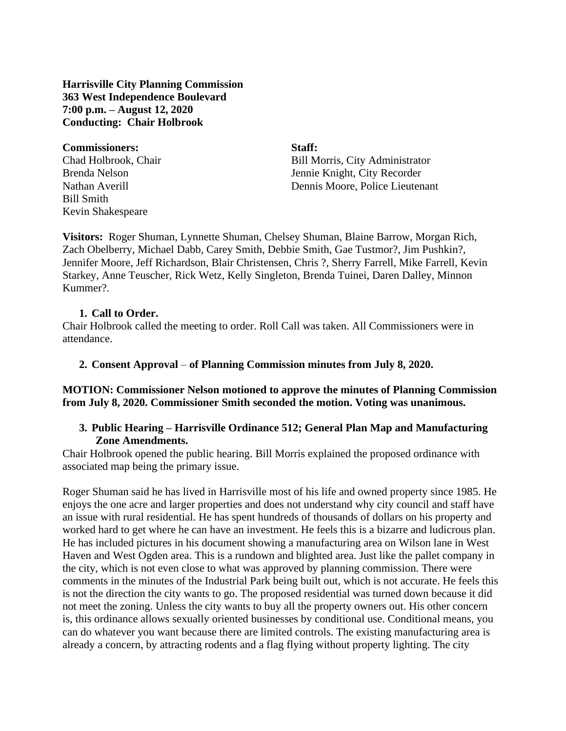**Harrisville City Planning Commission 363 West Independence Boulevard 7:00 p.m. – August 12, 2020 Conducting: Chair Holbrook**

#### **Commissioners: Staff:**

Bill Smith Kevin Shakespeare

Chad Holbrook, Chair Bill Morris, City Administrator Brenda Nelson Jennie Knight, City Recorder Nathan Averill Dennis Moore, Police Lieutenant

**Visitors:** Roger Shuman, Lynnette Shuman, Chelsey Shuman, Blaine Barrow, Morgan Rich, Zach Obelberry, Michael Dabb, Carey Smith, Debbie Smith, Gae Tustmor?, Jim Pushkin?, Jennifer Moore, Jeff Richardson, Blair Christensen, Chris ?, Sherry Farrell, Mike Farrell, Kevin Starkey, Anne Teuscher, Rick Wetz, Kelly Singleton, Brenda Tuinei, Daren Dalley, Minnon Kummer?.

#### **1. Call to Order.**

Chair Holbrook called the meeting to order. Roll Call was taken. All Commissioners were in attendance.

#### **2. Consent Approval** – **of Planning Commission minutes from July 8, 2020.**

**MOTION: Commissioner Nelson motioned to approve the minutes of Planning Commission from July 8, 2020. Commissioner Smith seconded the motion. Voting was unanimous.**

#### **3. Public Hearing – Harrisville Ordinance 512; General Plan Map and Manufacturing Zone Amendments.**

Chair Holbrook opened the public hearing. Bill Morris explained the proposed ordinance with associated map being the primary issue.

Roger Shuman said he has lived in Harrisville most of his life and owned property since 1985. He enjoys the one acre and larger properties and does not understand why city council and staff have an issue with rural residential. He has spent hundreds of thousands of dollars on his property and worked hard to get where he can have an investment. He feels this is a bizarre and ludicrous plan. He has included pictures in his document showing a manufacturing area on Wilson lane in West Haven and West Ogden area. This is a rundown and blighted area. Just like the pallet company in the city, which is not even close to what was approved by planning commission. There were comments in the minutes of the Industrial Park being built out, which is not accurate. He feels this is not the direction the city wants to go. The proposed residential was turned down because it did not meet the zoning. Unless the city wants to buy all the property owners out. His other concern is, this ordinance allows sexually oriented businesses by conditional use. Conditional means, you can do whatever you want because there are limited controls. The existing manufacturing area is already a concern, by attracting rodents and a flag flying without property lighting. The city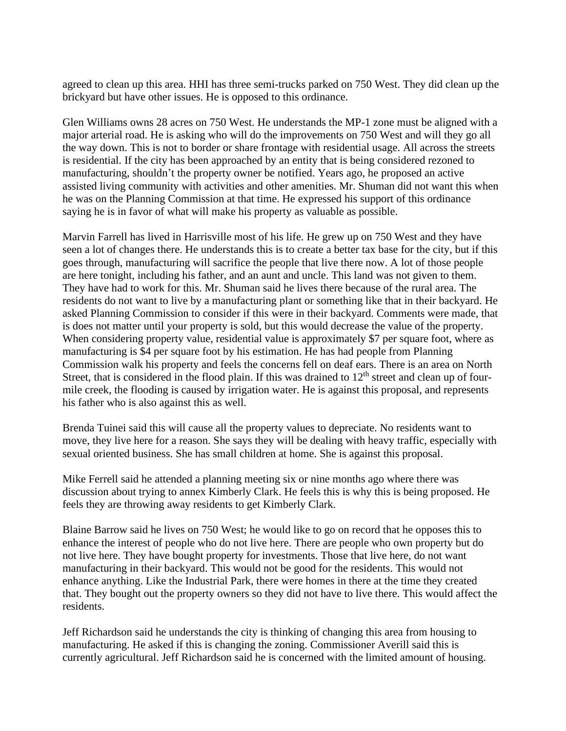agreed to clean up this area. HHI has three semi-trucks parked on 750 West. They did clean up the brickyard but have other issues. He is opposed to this ordinance.

Glen Williams owns 28 acres on 750 West. He understands the MP-1 zone must be aligned with a major arterial road. He is asking who will do the improvements on 750 West and will they go all the way down. This is not to border or share frontage with residential usage. All across the streets is residential. If the city has been approached by an entity that is being considered rezoned to manufacturing, shouldn't the property owner be notified. Years ago, he proposed an active assisted living community with activities and other amenities. Mr. Shuman did not want this when he was on the Planning Commission at that time. He expressed his support of this ordinance saying he is in favor of what will make his property as valuable as possible.

Marvin Farrell has lived in Harrisville most of his life. He grew up on 750 West and they have seen a lot of changes there. He understands this is to create a better tax base for the city, but if this goes through, manufacturing will sacrifice the people that live there now. A lot of those people are here tonight, including his father, and an aunt and uncle. This land was not given to them. They have had to work for this. Mr. Shuman said he lives there because of the rural area. The residents do not want to live by a manufacturing plant or something like that in their backyard. He asked Planning Commission to consider if this were in their backyard. Comments were made, that is does not matter until your property is sold, but this would decrease the value of the property. When considering property value, residential value is approximately \$7 per square foot, where as manufacturing is \$4 per square foot by his estimation. He has had people from Planning Commission walk his property and feels the concerns fell on deaf ears. There is an area on North Street, that is considered in the flood plain. If this was drained to  $12<sup>th</sup>$  street and clean up of fourmile creek, the flooding is caused by irrigation water. He is against this proposal, and represents his father who is also against this as well.

Brenda Tuinei said this will cause all the property values to depreciate. No residents want to move, they live here for a reason. She says they will be dealing with heavy traffic, especially with sexual oriented business. She has small children at home. She is against this proposal.

Mike Ferrell said he attended a planning meeting six or nine months ago where there was discussion about trying to annex Kimberly Clark. He feels this is why this is being proposed. He feels they are throwing away residents to get Kimberly Clark.

Blaine Barrow said he lives on 750 West; he would like to go on record that he opposes this to enhance the interest of people who do not live here. There are people who own property but do not live here. They have bought property for investments. Those that live here, do not want manufacturing in their backyard. This would not be good for the residents. This would not enhance anything. Like the Industrial Park, there were homes in there at the time they created that. They bought out the property owners so they did not have to live there. This would affect the residents.

Jeff Richardson said he understands the city is thinking of changing this area from housing to manufacturing. He asked if this is changing the zoning. Commissioner Averill said this is currently agricultural. Jeff Richardson said he is concerned with the limited amount of housing.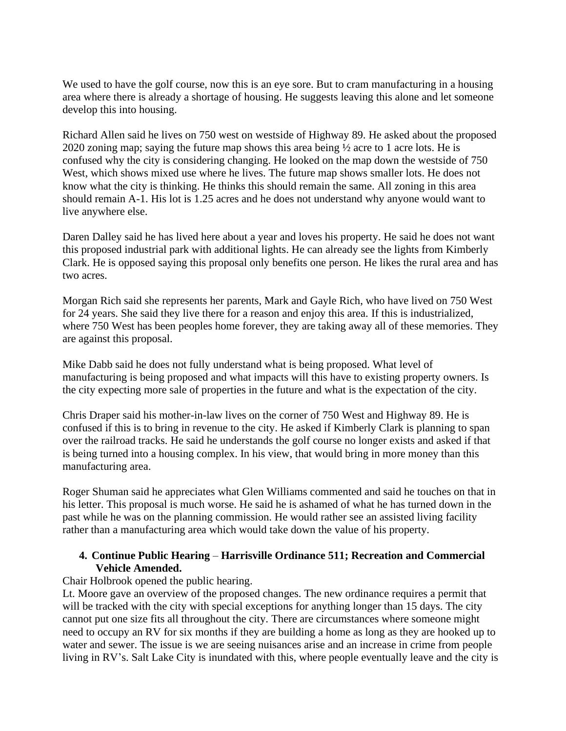We used to have the golf course, now this is an eye sore. But to cram manufacturing in a housing area where there is already a shortage of housing. He suggests leaving this alone and let someone develop this into housing.

Richard Allen said he lives on 750 west on westside of Highway 89. He asked about the proposed 2020 zoning map; saying the future map shows this area being ½ acre to 1 acre lots. He is confused why the city is considering changing. He looked on the map down the westside of 750 West, which shows mixed use where he lives. The future map shows smaller lots. He does not know what the city is thinking. He thinks this should remain the same. All zoning in this area should remain A-1. His lot is 1.25 acres and he does not understand why anyone would want to live anywhere else.

Daren Dalley said he has lived here about a year and loves his property. He said he does not want this proposed industrial park with additional lights. He can already see the lights from Kimberly Clark. He is opposed saying this proposal only benefits one person. He likes the rural area and has two acres.

Morgan Rich said she represents her parents, Mark and Gayle Rich, who have lived on 750 West for 24 years. She said they live there for a reason and enjoy this area. If this is industrialized, where 750 West has been peoples home forever, they are taking away all of these memories. They are against this proposal.

Mike Dabb said he does not fully understand what is being proposed. What level of manufacturing is being proposed and what impacts will this have to existing property owners. Is the city expecting more sale of properties in the future and what is the expectation of the city.

Chris Draper said his mother-in-law lives on the corner of 750 West and Highway 89. He is confused if this is to bring in revenue to the city. He asked if Kimberly Clark is planning to span over the railroad tracks. He said he understands the golf course no longer exists and asked if that is being turned into a housing complex. In his view, that would bring in more money than this manufacturing area.

Roger Shuman said he appreciates what Glen Williams commented and said he touches on that in his letter. This proposal is much worse. He said he is ashamed of what he has turned down in the past while he was on the planning commission. He would rather see an assisted living facility rather than a manufacturing area which would take down the value of his property.

### **4. Continue Public Hearing** – **Harrisville Ordinance 511; Recreation and Commercial Vehicle Amended.**

### Chair Holbrook opened the public hearing.

Lt. Moore gave an overview of the proposed changes. The new ordinance requires a permit that will be tracked with the city with special exceptions for anything longer than 15 days. The city cannot put one size fits all throughout the city. There are circumstances where someone might need to occupy an RV for six months if they are building a home as long as they are hooked up to water and sewer. The issue is we are seeing nuisances arise and an increase in crime from people living in RV's. Salt Lake City is inundated with this, where people eventually leave and the city is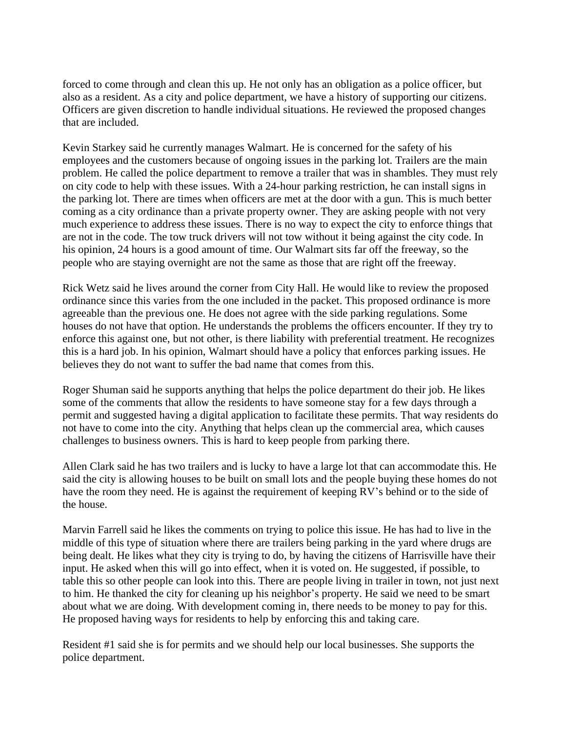forced to come through and clean this up. He not only has an obligation as a police officer, but also as a resident. As a city and police department, we have a history of supporting our citizens. Officers are given discretion to handle individual situations. He reviewed the proposed changes that are included.

Kevin Starkey said he currently manages Walmart. He is concerned for the safety of his employees and the customers because of ongoing issues in the parking lot. Trailers are the main problem. He called the police department to remove a trailer that was in shambles. They must rely on city code to help with these issues. With a 24-hour parking restriction, he can install signs in the parking lot. There are times when officers are met at the door with a gun. This is much better coming as a city ordinance than a private property owner. They are asking people with not very much experience to address these issues. There is no way to expect the city to enforce things that are not in the code. The tow truck drivers will not tow without it being against the city code. In his opinion, 24 hours is a good amount of time. Our Walmart sits far off the freeway, so the people who are staying overnight are not the same as those that are right off the freeway.

Rick Wetz said he lives around the corner from City Hall. He would like to review the proposed ordinance since this varies from the one included in the packet. This proposed ordinance is more agreeable than the previous one. He does not agree with the side parking regulations. Some houses do not have that option. He understands the problems the officers encounter. If they try to enforce this against one, but not other, is there liability with preferential treatment. He recognizes this is a hard job. In his opinion, Walmart should have a policy that enforces parking issues. He believes they do not want to suffer the bad name that comes from this.

Roger Shuman said he supports anything that helps the police department do their job. He likes some of the comments that allow the residents to have someone stay for a few days through a permit and suggested having a digital application to facilitate these permits. That way residents do not have to come into the city. Anything that helps clean up the commercial area, which causes challenges to business owners. This is hard to keep people from parking there.

Allen Clark said he has two trailers and is lucky to have a large lot that can accommodate this. He said the city is allowing houses to be built on small lots and the people buying these homes do not have the room they need. He is against the requirement of keeping RV's behind or to the side of the house.

Marvin Farrell said he likes the comments on trying to police this issue. He has had to live in the middle of this type of situation where there are trailers being parking in the yard where drugs are being dealt. He likes what they city is trying to do, by having the citizens of Harrisville have their input. He asked when this will go into effect, when it is voted on. He suggested, if possible, to table this so other people can look into this. There are people living in trailer in town, not just next to him. He thanked the city for cleaning up his neighbor's property. He said we need to be smart about what we are doing. With development coming in, there needs to be money to pay for this. He proposed having ways for residents to help by enforcing this and taking care.

Resident #1 said she is for permits and we should help our local businesses. She supports the police department.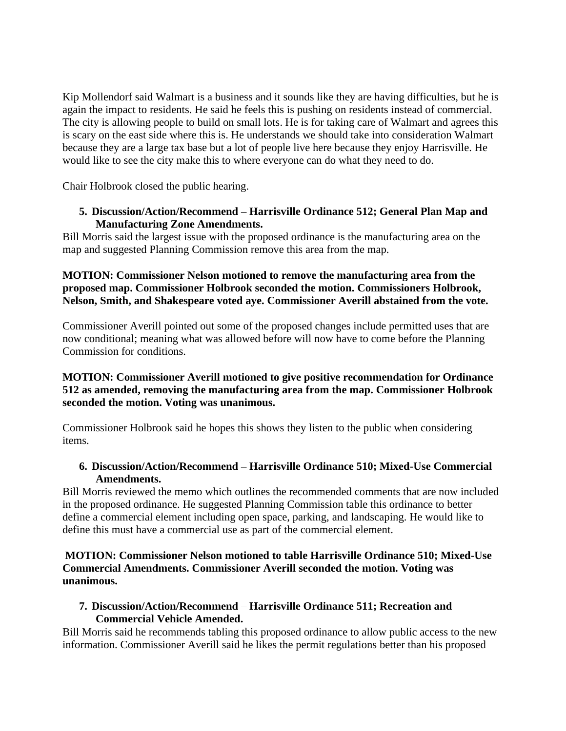Kip Mollendorf said Walmart is a business and it sounds like they are having difficulties, but he is again the impact to residents. He said he feels this is pushing on residents instead of commercial. The city is allowing people to build on small lots. He is for taking care of Walmart and agrees this is scary on the east side where this is. He understands we should take into consideration Walmart because they are a large tax base but a lot of people live here because they enjoy Harrisville. He would like to see the city make this to where everyone can do what they need to do.

Chair Holbrook closed the public hearing.

### **5. Discussion/Action/Recommend – Harrisville Ordinance 512; General Plan Map and Manufacturing Zone Amendments.**

Bill Morris said the largest issue with the proposed ordinance is the manufacturing area on the map and suggested Planning Commission remove this area from the map.

**MOTION: Commissioner Nelson motioned to remove the manufacturing area from the proposed map. Commissioner Holbrook seconded the motion. Commissioners Holbrook, Nelson, Smith, and Shakespeare voted aye. Commissioner Averill abstained from the vote.**

Commissioner Averill pointed out some of the proposed changes include permitted uses that are now conditional; meaning what was allowed before will now have to come before the Planning Commission for conditions.

### **MOTION: Commissioner Averill motioned to give positive recommendation for Ordinance 512 as amended, removing the manufacturing area from the map. Commissioner Holbrook seconded the motion. Voting was unanimous.**

Commissioner Holbrook said he hopes this shows they listen to the public when considering items.

### **6. Discussion/Action/Recommend – Harrisville Ordinance 510; Mixed-Use Commercial Amendments.**

Bill Morris reviewed the memo which outlines the recommended comments that are now included in the proposed ordinance. He suggested Planning Commission table this ordinance to better define a commercial element including open space, parking, and landscaping. He would like to define this must have a commercial use as part of the commercial element.

### **MOTION: Commissioner Nelson motioned to table Harrisville Ordinance 510; Mixed-Use Commercial Amendments. Commissioner Averill seconded the motion. Voting was unanimous.**

# **7. Discussion/Action/Recommend** – **Harrisville Ordinance 511; Recreation and Commercial Vehicle Amended.**

Bill Morris said he recommends tabling this proposed ordinance to allow public access to the new information. Commissioner Averill said he likes the permit regulations better than his proposed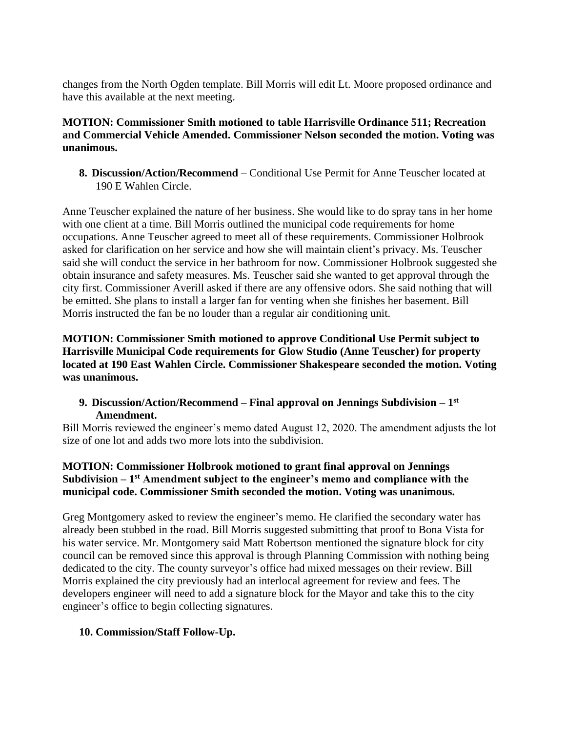changes from the North Ogden template. Bill Morris will edit Lt. Moore proposed ordinance and have this available at the next meeting.

### **MOTION: Commissioner Smith motioned to table Harrisville Ordinance 511; Recreation and Commercial Vehicle Amended. Commissioner Nelson seconded the motion. Voting was unanimous.**

**8. Discussion/Action/Recommend** – Conditional Use Permit for Anne Teuscher located at 190 E Wahlen Circle.

Anne Teuscher explained the nature of her business. She would like to do spray tans in her home with one client at a time. Bill Morris outlined the municipal code requirements for home occupations. Anne Teuscher agreed to meet all of these requirements. Commissioner Holbrook asked for clarification on her service and how she will maintain client's privacy. Ms. Teuscher said she will conduct the service in her bathroom for now. Commissioner Holbrook suggested she obtain insurance and safety measures. Ms. Teuscher said she wanted to get approval through the city first. Commissioner Averill asked if there are any offensive odors. She said nothing that will be emitted. She plans to install a larger fan for venting when she finishes her basement. Bill Morris instructed the fan be no louder than a regular air conditioning unit.

**MOTION: Commissioner Smith motioned to approve Conditional Use Permit subject to Harrisville Municipal Code requirements for Glow Studio (Anne Teuscher) for property located at 190 East Wahlen Circle. Commissioner Shakespeare seconded the motion. Voting was unanimous.**

### **9. Discussion/Action/Recommend – Final approval on Jennings Subdivision – 1 st Amendment.**

Bill Morris reviewed the engineer's memo dated August 12, 2020. The amendment adjusts the lot size of one lot and adds two more lots into the subdivision.

# **MOTION: Commissioner Holbrook motioned to grant final approval on Jennings Subdivision – 1 st Amendment subject to the engineer's memo and compliance with the municipal code. Commissioner Smith seconded the motion. Voting was unanimous.**

Greg Montgomery asked to review the engineer's memo. He clarified the secondary water has already been stubbed in the road. Bill Morris suggested submitting that proof to Bona Vista for his water service. Mr. Montgomery said Matt Robertson mentioned the signature block for city council can be removed since this approval is through Planning Commission with nothing being dedicated to the city. The county surveyor's office had mixed messages on their review. Bill Morris explained the city previously had an interlocal agreement for review and fees. The developers engineer will need to add a signature block for the Mayor and take this to the city engineer's office to begin collecting signatures.

# **10. Commission/Staff Follow-Up.**